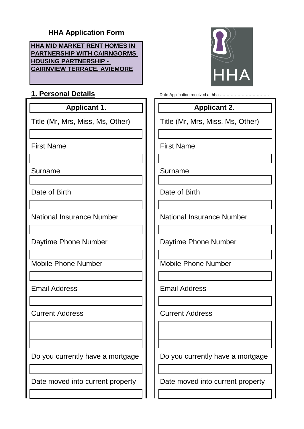### **HHA Application Form**

**HHA MID MARKET RENT HOMES IN PARTNERSHIP WITH CAIRNGORMS HOUSING PARTNERSHIP - CAIRNVIEW TERRACE, AVIEMORE**

Title (Mr, Mrs, Miss, Ms, Other) | Title (Mr, Mrs, Miss, Ms, Other)

First Name First Name

Surname Surname

Date of Birth **Date of Birth** 

National Insurance Number **National Insurance Number** 

Daytime Phone Number **Daytime Phone Number** 

Mobile Phone Number **Mobile Phone Number Mobile Phone Number** 

Email Address Email Address

Current Address Current Address

Date moved into current property  $\|\cdot\|$  Date moved into current property



**1. Personal Details** Date Application received at hha ……………………………………………………………………

# **Applicant 1. Applicant 2.**

Do you currently have a mortgage  $\parallel$  Do you currently have a mortgage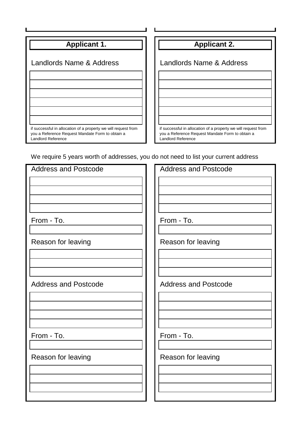| <b>Applicant 1.</b>                                                                                                                      | <b>Applicant 2.</b>                                                                                                                      |
|------------------------------------------------------------------------------------------------------------------------------------------|------------------------------------------------------------------------------------------------------------------------------------------|
| Landlords Name & Address                                                                                                                 | Landlords Name & Address                                                                                                                 |
|                                                                                                                                          |                                                                                                                                          |
| if successful in allocation of a property we will request from<br>you a Reference Request Mandate Form to obtain a<br>Landlord Reference | if successful in allocation of a property we will request from<br>you a Reference Request Mandate Form to obtain a<br>Landlord Reference |

| <b>Address and Postcode</b> | <b>Address and Postcode</b> |
|-----------------------------|-----------------------------|
|                             |                             |
|                             |                             |
|                             |                             |
|                             |                             |
| From - To.                  | From - To.                  |
|                             |                             |
| Reason for leaving          | Reason for leaving          |
|                             |                             |
|                             |                             |
|                             |                             |
| <b>Address and Postcode</b> | <b>Address and Postcode</b> |
|                             |                             |
|                             |                             |
|                             |                             |
|                             |                             |
| From - To.                  | From - To.                  |
|                             |                             |
|                             | Reason for leaving          |
| Reason for leaving          |                             |
|                             |                             |
|                             |                             |
|                             |                             |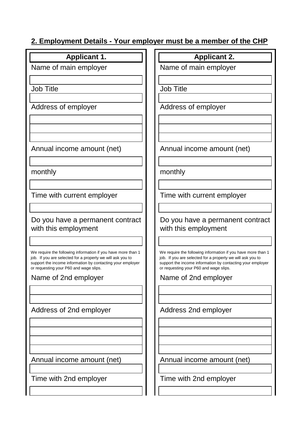# **2. Employment Details - Your employer must be a member of the CHP**

| <b>Applicant 1.</b>                                                                                                        | <b>Applicant 2.</b>                                                                                                        |
|----------------------------------------------------------------------------------------------------------------------------|----------------------------------------------------------------------------------------------------------------------------|
| Name of main employer                                                                                                      | Name of main employer                                                                                                      |
|                                                                                                                            |                                                                                                                            |
| <b>Job Title</b>                                                                                                           | <b>Job Title</b>                                                                                                           |
|                                                                                                                            |                                                                                                                            |
| Address of employer                                                                                                        | Address of employer                                                                                                        |
|                                                                                                                            |                                                                                                                            |
|                                                                                                                            |                                                                                                                            |
| Annual income amount (net)                                                                                                 | Annual income amount (net)                                                                                                 |
|                                                                                                                            |                                                                                                                            |
| monthly                                                                                                                    | monthly                                                                                                                    |
|                                                                                                                            |                                                                                                                            |
| Time with current employer                                                                                                 | Time with current employer                                                                                                 |
|                                                                                                                            |                                                                                                                            |
| Do you have a permanent contract                                                                                           | Do you have a permanent contract                                                                                           |
| with this employment                                                                                                       | with this employment                                                                                                       |
|                                                                                                                            |                                                                                                                            |
| We require the following information if you have more than 1<br>job. If you are selected for a property we will ask you to | We require the following information if you have more than 1<br>job. If you are selected for a property we will ask you to |
| support the income information by contacting your employer<br>or requesting your P60 and wage slips.                       | support the income information by contacting your employer<br>or requesting your P60 and wage slips.                       |
| Name of 2nd employer                                                                                                       | Name of 2nd employer                                                                                                       |
|                                                                                                                            |                                                                                                                            |
|                                                                                                                            |                                                                                                                            |
| Address of 2nd employer                                                                                                    | Address 2nd employer                                                                                                       |
|                                                                                                                            |                                                                                                                            |
|                                                                                                                            |                                                                                                                            |
|                                                                                                                            |                                                                                                                            |
| Annual income amount (net)                                                                                                 | Annual income amount (net)                                                                                                 |
|                                                                                                                            |                                                                                                                            |
| Time with 2nd employer                                                                                                     | Time with 2nd employer                                                                                                     |
|                                                                                                                            |                                                                                                                            |
|                                                                                                                            |                                                                                                                            |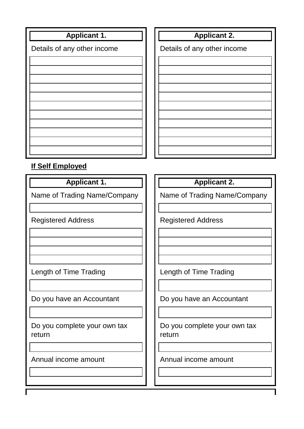| <b>Applicant 1.</b>         |
|-----------------------------|
| Details of any other income |
|                             |
|                             |
|                             |
|                             |
|                             |
|                             |
|                             |
|                             |
|                             |
|                             |
|                             |

### **Applicant 2.**

Details of any other income

## **If Self Employed**

Registered Address **Registered Address** 

Length of Time Trading **Length of Time Trading** 

Do you have an Accountant **Do** you have an Accountant

Do you complete your own tax return

Annual income amount Annual income amount

# **Applicant 1. Applicant 2.**

Name of Trading Name/Company | | Name of Trading Name/Company

Do you complete your own tax return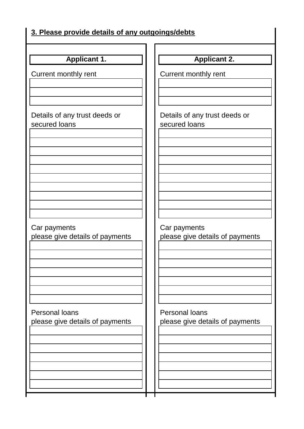## **3. Please provide details of any outgoings/debts**

Current monthly rent **Current monthly rent** 

secured loans **secured loans** 

Car payments **Car payments Car payments** please give details of payments  $\|\cdot\|$  please give details of payments

Personal loans **Personal loans** please give details of payments **please** give details of payments

Applicant 1. **Applicant 2.** 

Details of any trust deeds or  $\Box$  Details of any trust deeds or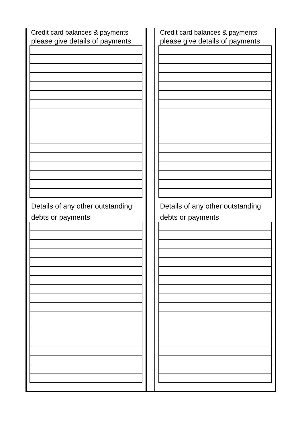| Credit card balances & payments  |  |
|----------------------------------|--|
| please give details of payments  |  |
|                                  |  |
|                                  |  |
|                                  |  |
|                                  |  |
|                                  |  |
|                                  |  |
|                                  |  |
|                                  |  |
|                                  |  |
|                                  |  |
|                                  |  |
|                                  |  |
|                                  |  |
|                                  |  |
|                                  |  |
|                                  |  |
|                                  |  |
|                                  |  |
| Details of any other outstanding |  |
|                                  |  |
|                                  |  |
| debts or payments                |  |
|                                  |  |
|                                  |  |
|                                  |  |
|                                  |  |
|                                  |  |
|                                  |  |
|                                  |  |
|                                  |  |
|                                  |  |
|                                  |  |
|                                  |  |
|                                  |  |
|                                  |  |
|                                  |  |
|                                  |  |
|                                  |  |
|                                  |  |
|                                  |  |
|                                  |  |

Credit card balances & payments please give details of payments

Details of any other outstanding debts or payments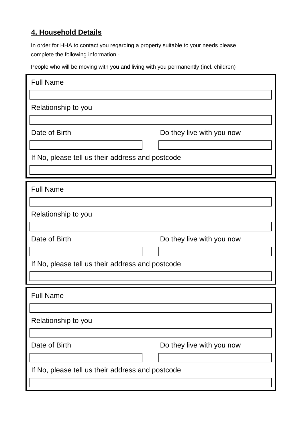# **4. Household Details**

In order for HHA to contact you regarding a property suitable to your needs please complete the following information -

People who will be moving with you and living with you permanently (incl. children)

| <b>Full Name</b>                                 |
|--------------------------------------------------|
|                                                  |
| Relationship to you                              |
|                                                  |
| Date of Birth<br>Do they live with you now       |
|                                                  |
| If No, please tell us their address and postcode |
|                                                  |
| <b>Full Name</b>                                 |
|                                                  |
| Relationship to you                              |
|                                                  |
| Date of Birth<br>Do they live with you now       |
|                                                  |
| If No, please tell us their address and postcode |
|                                                  |
| <b>Full Name</b>                                 |
|                                                  |
| Relationship to you                              |
|                                                  |
| Date of Birth<br>Do they live with you now       |
|                                                  |
| If No, please tell us their address and postcode |
|                                                  |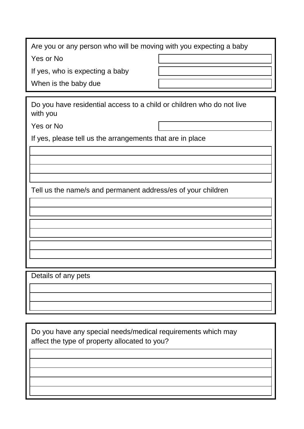Are you or any person who will be moving with you expecting a baby

Yes or No

If yes, who is expecting a baby

When is the baby due

Do you have residential access to a child or children who do not live with you

Yes or No

If yes, please tell us the arrangements that are in place

Tell us the name/s and permanent address/es of your children

Details of any pets

Do you have any special needs/medical requirements which may affect the type of property allocated to you?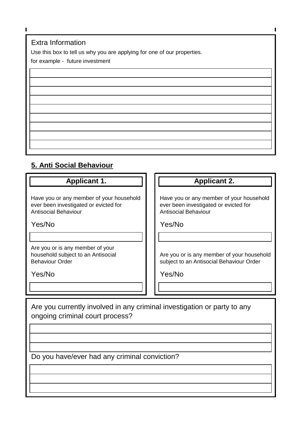### **5. Anti Social Behaviour**

Have you or any member of your household ever been investigated or evicted for Antisocial Behaviour

Yes/No Yes/No

Are you or is any member of your household subject to an Antisocial Behaviour Order

Yes/No Yes/No

# **Applicant 1. Applicant 2.**

Have you or any member of your household ever been investigated or evicted for Antisocial Behaviour

Are you or is any member of your household subject to an Antisocial Behaviour Order

Are you currently involved in any criminal investigation or party to any ongoing criminal court process?

Do you have/ever had any criminal conviction?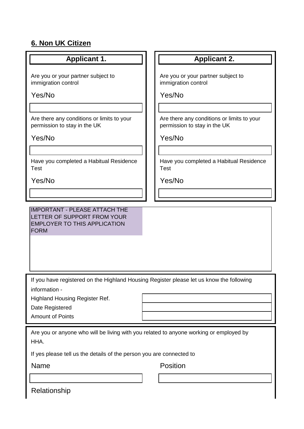### **6. Non UK Citizen**

Are you or your partner subject to immigration control

Are there any conditions or limits to your permission to stay in the UK

Yes/No Yes/No

Have you completed a Habitual Residence Test

IMPORTANT - PLEASE ATTACH THE LETTER OF SUPPORT FROM YOUR EMPLOYER TO THIS APPLICATION FORM

**Applicant 1. Applicant 2.** 

Are you or your partner subject to immigration control

Yes/No Yes/No

Are there any conditions or limits to your permission to stay in the UK

Have you completed a Habitual Residence Test

Yes/No Yes/No

If you have registered on the Highland Housing Register please let us know the following information -

Highland Housing Register Ref.

Date Registered

Amount of Points

Are you or anyone who will be living with you related to anyone working or employed by HHA.

If yes please tell us the details of the person you are connected to

Name **Position** 

Relationship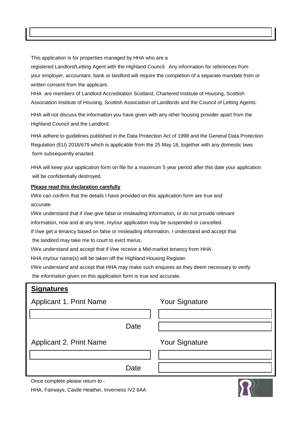This application is for properties managed by HHA who are a

registered Landlord/Letting Agent with the Highland Council. Any information for references from your employer, accountant, bank or landlord will require the completion of a separate mandate from or written consent from the applicant.

HHA are members of Landlord Accreditation Scotland, Chartered Institute of Housing, Scottish Association Institute of Housing, Scottish Association of Landlords and the Council of Letting Agents.

HHA will not discuss the information you have given with any other housing provider apart from the Highland Council and the Landlord.

HHA adhere to guidelines published in the Data Protection Act of 1998 and the General Data Protection Regulation (EU) 2016/679 which is applicable from the 25 May 18, together with any domestic laws form subsequently enacted.

HHA will keep your application form on file for a maximum 5 year period after this date your application will be confidentially destroyed.

### **Please read this declaration carefully**

I/We can confirm that the details I have provided on this application form are true and accurate.

I/We understand that if I/we give false or misleading information, or do not provide relevant information, now and at any time, my/our application may be suspended or cancelled.

If I/we get a tenancy based on false or misleading information, I understand and accept that

the landlord may take me to court to evict me/us.

I/We understand and accept that if I/we receive a Mid-market tenancy from HHA

HHA my/our name(s) will be taken off the Highland Housing Register.

I/We understand and accept that HHA may make such enquires as they deem necessary to verify the information given on this application form is true and accurate.

| <b>Signatures</b>                |      |                       |  |
|----------------------------------|------|-----------------------|--|
| <b>Applicant 1. Print Name</b>   |      | <b>Your Signature</b> |  |
|                                  |      |                       |  |
|                                  | Date |                       |  |
| <b>Applicant 2. Print Name</b>   |      | <b>Your Signature</b> |  |
|                                  |      |                       |  |
|                                  | Date |                       |  |
| Once complete please return to - |      |                       |  |

HHA, Fairways, Castle Heather, Inverness IV2 6AA